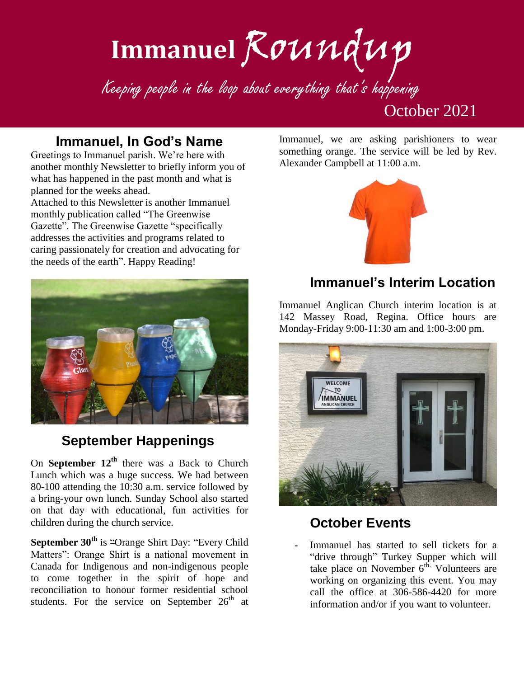# Immanuel Roundup Keeping people in the loop about everything that's happening

# October 2021

#### **Immanuel, In God's Name**

Greetings to Immanuel parish. We're here with another monthly Newsletter to briefly inform you of what has happened in the past month and what is planned for the weeks ahead.

Attached to this Newsletter is another Immanuel monthly publication called "The Greenwise Gazette". The Greenwise Gazette "specifically addresses the activities and programs related to caring passionately for creation and advocating for the needs of the earth". Happy Reading!



# **September Happenings**

On **September 12th** there was a Back to Church Lunch which was a huge success. We had between 80-100 attending the 10:30 a.m. service followed by a bring-your own lunch. Sunday School also started on that day with educational, fun activities for children during the church service.

**September 30<sup>th</sup>** is "Orange Shirt Day: "Every Child Matters": Orange Shirt is a national movement in Canada for Indigenous and non-indigenous people to come together in the spirit of hope and reconciliation to honour former residential school students. For the service on September  $26<sup>th</sup>$  at

Immanuel, we are asking parishioners to wear something orange. The service will be led by Rev. Alexander Campbell at 11:00 a.m.



# **Immanuel's Interim Location**

Immanuel Anglican Church interim location is at 142 Massey Road, Regina. Office hours are Monday-Friday 9:00-11:30 am and 1:00-3:00 pm.



# **October Events**

Immanuel has started to sell tickets for a "drive through" Turkey Supper which will take place on November 6<sup>th.</sup> Volunteers are working on organizing this event. You may call the office at 306-586-4420 for more information and/or if you want to volunteer.